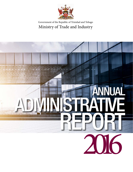

#### Government of the Republic of Trinidad and Tobago Ministry of Trade and Industry

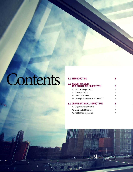# Contents 1.0 INTRODUCTION

#### 2.0 Vision, Mission and Strategic Objectives 2 2.1 MTI Strategic Goal 2.2 Vision of MTI 2 2.3 Mission of MTI 2 2.4 Strategic Framework of the MTI 2 3.0 Organisational Structure 6 3.1 Organisational Profile 6 3.2 Corporate Structure 7

3.3 MTI's State Agencies 7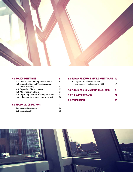

| <b>4.0 POLICY INITIATIVES</b>            |     |
|------------------------------------------|-----|
| 4.1 Creating the Enabling Environment    |     |
| 4.2 Diversification and Transformation   |     |
| of the Economy                           | 9   |
| 4.3 Expanding Market Access              | 11  |
| 4.4 Attracting Investment                | 14  |
| 4.5 Improving the Ease of Doing Business | 15. |
| 4.6 Enhancing Consumer Empowerment       | 16  |
| 5.0 FINANCIAL OPERATIONS                 |     |
| 5.1 Capital Expenditure                  | 17  |
| 5.2 Internal Audit                       | 18  |

| <b>6.0 HUMAN RESOURCE DEVELOPMENT PLAN 19</b><br>6.1 Organisational Establishment |    |
|-----------------------------------------------------------------------------------|----|
| and Employee Categories in MTI                                                    | 19 |
| <b>7.0 PUBLIC AND COMMUNITY RELATIONS</b>                                         | 20 |
| <b>8.0 THE WAY FORWARD</b>                                                        | 21 |
| <b>9.0 CONCLUSION</b>                                                             | 23 |
|                                                                                   |    |

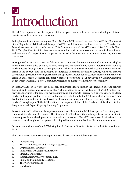## Introduction 1.0

The MTI is responsible for the implementation of government policy for business development, trade, investment and consumer empowerment.

To implement its mandate throughout Fiscal 2016, the MTI assessed the new National Policy Framework of the Republic of Trinidad and Tobago (GoRTT), which outline the blueprint for the Trinidad and Tobago's socio-economic transformation. This framework steered the MTI's Annual Work Plan for Fiscal 2016. This plan identifies initiatives to create an enabling environment to support economic diversification and international competitiveness; support the growth of exports and investments, as well as, empower consumers.

During Fiscal 2016, the MTI successfully executed a number of initiatives identified within its work plan. These initiatives included pursuing reforms to improve the ease of doing business reforms and expanding markets access through partial scope agreements with Latin countries. To further stimulate investments in Trinidad and Tobago, the MTI developed an Integrated Investment Promotion Strategy which will ensure a coordinated approach between government and agencies executed for investment promotion initiatives in Trinidad and Tobago. To ensure consumer rights are protected, the MTI developed a National Consumer Policy which will initiate a new Consumer Protection and Empowerment Act for consumers.

In Fiscal 2016, the MTI Work Plan also sought to increase exports through the expansion of Trade between Trinidad and Tobago and Venezuela. This Cabinet approved revolving Facility of US\$50 million will provide opportunities for domestic manufacturers and exporters to increase non-energy exports to a large market and expand product coverage in that market. Additionally, the MTI established a National Trade Facilitation Committee which will assist local manufactures to gain entry into the huge Latin American market. Through exporTT, the MTI continued the implementation of the Food and Safety Modernization Programme and Export Capacity Building Programme.

To contribute to Trinidad and Tobago's economic diversification, the MTI developed a Cabinet approved framework for the maritime sector. This framework will address the challenges faced in the sector to increase growth and development in the maritime subsectors. The MTI also pursued initiatives in the creative sector through workshops on enhancing skillsets within the fashion, film and music sectors.

Other accomplishments of the MTI during Fiscal 2016 are outlined in this Annual Administrative Report 2016.

The MTI Annual Administrative Report for Fiscal 2016 covers the following areas:

- 1. Introduction;
- 2. MTI Vision, Mission and Strategic Objectives;
- 3. Organisational Structure;
- 4. Policies and Development Initiatives;
- 5. Financial Operations;
- 6. Human Resource Development Plan;
- 7. Public and Community Relations;
- 8. The Way Forward; and
- 9. Conclusion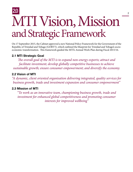## MTI Vision, Mission and Strategic Framework 2.0

On 17 September 2015, the Cabinet approved a new National Policy Framework for the Government of the Republic of Trinidad and Tobago (GORTT), which outlined the blueprint for Trinidad and Tobago's socioeconomic transformation. This framework guided the MTI's Annual Work Plan during Fiscal 2015/16.

#### 2.1 MTI Strategic Goal

*The overall goal of the MTI is to expand non-energy exports; attract and facilitate investment; develop globally competitive businesses to achieve sustainable growth; ensure consumer empowerment; and diversify the economy.*

#### 2.2 Vision of MTI

*"A dynamic, client oriented organisation delivering integrated, quality services for business growth, trade and investment expansion and consumer empowerment"*

#### 2.3 Mission of MTI

*"To work as an innovative team, championing business growth, trade and investment for enhanced global competitiveness and promoting consumer interests for improved wellbeing"*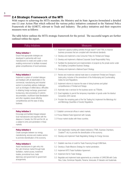#### 2.4 Strategic Framework of the MTI

With respect to achieving the MTI's mandate, the Ministry and its State Agencies formulated a detailed one (1) year Action Plan which reflected the various policy initiatives contained in the National Policy Framework of the GORTT, relevant to Trade and Industry. The policy initiatives and their respective measures were as follows:

The table below outlines the MTI's strategic framework for the period. The successful targets are further outlined within the report.

| Policy Initiatives                                                                                                                                   | <b>Measures</b>                                                                                                                                                                                                                    |
|------------------------------------------------------------------------------------------------------------------------------------------------------|------------------------------------------------------------------------------------------------------------------------------------------------------------------------------------------------------------------------------------|
| <b>Policy Initiative 1</b><br>Ensure that appropriate strategies are<br>developed in partnership with local                                          | 1.1 Implement capacity building activities through exporTT and TTBS, to improve<br>business processes that are compliant with international standards.<br>1.2 Develop and implement a new Consumer Policy for Trinidad and Tobago. |
| manufacturers to create and sustain a more                                                                                                           | 1.3 Develop and implement a National Corporate Social Responsibility Policy.                                                                                                                                                       |
| enabling environment to facilitate increased<br>global competitiveness of local businesses.                                                          | 1.4 Facilitate the development and implementation of projects by the private sector under<br>the Enabling Competitive Business Strategy.                                                                                           |
|                                                                                                                                                      | 1.5 Develop and implement a National Export Strategy.                                                                                                                                                                              |
| <b>Policy Initiative 2</b><br>Implement a system of constant dialogue<br>and feedback with all stakeholders in the                                   | 2.1 Review and modernize national trade laws to complement Trinidad and Tobago's<br>trade policy, inclusive of the amendment of the Antidumping and Countervailing<br>Duties Act and Regulations.                                  |
| commercial, manufacturing and industrial<br>sectors to proactively address challenges<br>such as shortages of skilled labour, difficulties           | 2.2 Implement reforms to improve the ease of doing business and global<br>competitiveness of Trinidad and Tobago.                                                                                                                  |
| in obtaining foreign exchange, government                                                                                                            | 2.3 Automate new e-services for the business sector via TTBizlink.                                                                                                                                                                 |
| bureaucracy, slow processing of customs<br>documentation, insufficient trade liberalisation                                                          | 2.3 Enact legislation to permit the temporary importation of goods under the Istanbul<br>Convention (ATA Carnet).                                                                                                                  |
| and other regulatory issues affecting<br>competitiveness and the ease of doing<br>business.                                                          | 2.4 Proclaim the remaining parts of the Fair Trading Act; Implement the Metrology Act<br>and Metrology (Quantities of Goods) Regulations.                                                                                          |
| <b>Policy Initiative 3</b>                                                                                                                           | 3.1 Establish commercial offices in select markets.                                                                                                                                                                                |
| Encourage and facilitate linkages between                                                                                                            | 3.2 Pursue Bilateral Trade Agreement with Canada.                                                                                                                                                                                  |
| local manufacturers and exporters with the<br>diaspora in Canada, the USA and the UK, as<br>a catalyst to entry and penetration in these<br>markets. | 3.3 Pursue market studies with these countries.                                                                                                                                                                                    |
| <b>Policy Initiative 4</b><br>Create synergies between our energy,                                                                                   | 4.1 Host stakeholder meeting with related institutions (TTMA, Business Chambers,<br>CreativeTT etc) to promote the diversification of the economy.                                                                                 |
| manufacturing, services and creative sectors<br>to promote diversification of the economy.                                                           | 4.2 Develop and implement Trade Negotiating Strategy for Energy Services.                                                                                                                                                          |
| <b>Policy Initiative 5</b>                                                                                                                           | 5.1 Establish new lines of credit for Trade Financing through EXIM Bank.                                                                                                                                                           |
| Assist manufacturers to gain entry into                                                                                                              | 5.2 Develop a Trade Missions Strategy for market penetration.                                                                                                                                                                      |
| the Latin American market through trade<br>facilitation, market access, investment                                                                   | 5.3 Implement WTO Trade Facilitation Agreement.                                                                                                                                                                                    |
| treaties, promotional tours, trade                                                                                                                   | 5.4 Implement Aid for Trade Strategy.                                                                                                                                                                                              |
| diplomacy and government to government<br>arrangements.                                                                                              | 5.5 Negotiate and implement trade agreements as a member of CARICOM with Costa<br>Rica, Cuba, Dominican Republic, Panama, Venezuela, El Salvador and Guatemala.                                                                    |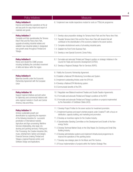| Policy Initiatives                                                                                                                                                                                                                                                                                                                                                                                                                                                                                                                                                        | <b>Measures</b>                                                                                                                                                                                                                                                                                                                                                                                                                                                                                                                                                                                                                                                                                                                    |  |  |  |
|---------------------------------------------------------------------------------------------------------------------------------------------------------------------------------------------------------------------------------------------------------------------------------------------------------------------------------------------------------------------------------------------------------------------------------------------------------------------------------------------------------------------------------------------------------------------------|------------------------------------------------------------------------------------------------------------------------------------------------------------------------------------------------------------------------------------------------------------------------------------------------------------------------------------------------------------------------------------------------------------------------------------------------------------------------------------------------------------------------------------------------------------------------------------------------------------------------------------------------------------------------------------------------------------------------------------|--|--|--|
| <b>Policy Initiative 6</b><br>Improve and streamline operations at the air<br>and sea ports for easy import and export of<br>materials and goods.                                                                                                                                                                                                                                                                                                                                                                                                                         | 6.1 Implement new mobile inspections module for oorts on TTBizLink programme                                                                                                                                                                                                                                                                                                                                                                                                                                                                                                                                                                                                                                                       |  |  |  |
| <b>Policy Initiative 7</b><br>Complete and fully operationalise the Tamana<br>Intech Park and the Piarco Aero Park,<br>upgrade all existing industrial estates and<br>establish new industrial estates in designated<br>new growth areas throughout Trinidad and<br>Tobago.                                                                                                                                                                                                                                                                                               | 7.1 Develop value proposition strategy for Tamana Intech Park and the Piarco Aero Park.<br>7.2 Populate Tamana Intech Park and the Piarco Aero Park with tenants that will<br>contribute to the diversification of the economy related to the seven sectors.<br>7.3 Complete refurbishment works of all existing industrial parks.<br>7.4 Establish the Point Fortin Business Park.<br>7.5 Develop a new Special Economic Zones Policy.                                                                                                                                                                                                                                                                                            |  |  |  |
| <b>Policy Initiative 8</b><br>Revive and rebuild the CSME process<br>including facilitating the controlled movement<br>of skills and labour within the region.                                                                                                                                                                                                                                                                                                                                                                                                            | 8.1 Formulate and advocate Trinidad and Tobago's position on strategic initiatives in the<br>Council for Trade and Economic Development (COTED).<br>8.2 Develop a Regional Strategic Plan for Services (RSPS).                                                                                                                                                                                                                                                                                                                                                                                                                                                                                                                     |  |  |  |
| <b>Policy Initiative 9</b><br>Maximise benefits under the Economic<br>Partnership Agreement with the European<br>Union                                                                                                                                                                                                                                                                                                                                                                                                                                                    | 9.1 Ratifiy the Economic Partnership Agreement.<br>9.2 Establish a National EPA Monitoring Committee and System.<br>9.3 Implement outstanding Articles under the EPA Act.<br>9.4 Develop a National EPA Monitoring system.<br>9.5 Communicate benefits of the EPA.                                                                                                                                                                                                                                                                                                                                                                                                                                                                 |  |  |  |
| <b>Policy Initiative 10</b><br>Support regional initiatives and joint action<br>for diplomacy and commercial relations with<br>extra-regional markets in South and Central<br>America, Asia and Africa.                                                                                                                                                                                                                                                                                                                                                                   | 10.1 Negotiate new Bilateral Investment Treaties and Double Taxation Agreements.<br>10.2 Formulate and advocate Trinidad and Tobago's positions at the WTO<br>10.3 Formulate and advocate Trinidad and Tobago's positions on projects implemented<br>by the Association of Caribbean States (ACS).                                                                                                                                                                                                                                                                                                                                                                                                                                 |  |  |  |
| <b>Policy Initiative 11</b><br>Achieve sustainable growth and<br>diversification by supporting the expansion<br>of the following industries for successful<br>penetration of international markets:<br>Agriculture and Agro-processing; Maritime<br>Services (shipbuilding, ship repair, dry-<br>docking and yachting services); Fishing and<br>Fish Processing; the Creative Industries (film,<br>music, entertainment, fashion and design);<br>Financial Services (making Trinidad and<br>Tobago a regional financial centre); and<br>Software Design and Applications. | 11.1 Develop Project Profiles for the seven sectors for investment promotion.<br>11.2 Implement business and export oriented projects under CreativeTT with a focus on<br>distribution, capacity building, and marketing and promotion.<br>11.3 Develop an incentives regime for the Creative Industry.<br>11.4 Operationalise Standing Committee on the Development and Growth of the Non-<br>energy Sector.<br>11.5 Develop Technical Market Study on the Ship Repair, Dry Docking and Small Ship<br>Building Industry.<br>11.6 Develop administrative systems and implement infrastructural programmes to<br>improve the operations of the yachting sector.<br>11.7 Develop new strategic plans for the Music and Film Sectors. |  |  |  |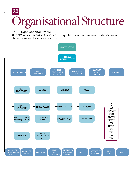### Organisational Structure 3.0

#### 3.1 Organisational Profile

The MTI's structure is designed to allow for strategy delivery, efficient processes and the achievement of planned outcomes. The structure comprises:

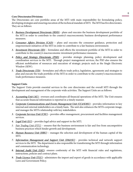#### **Core Directorates/Divisions:**

The Directorates are core portfolio areas of the MTI with main responsibility for formulating policy, developing strategies and ensuring execution of the technical mandate of MTI. The MTI has five directorates. They are as follows:

- *1. Business Development Directorate (BDD)* plans and executes the business development portfolio of the MTI in order to contribute to the country's macroeconomic business development performance measures.
- *2. Consumer Affairs Division (CAD)* plans and executes the consumer guidance, protection and empowerment initiatives of the MTI in order to contribute to a fair business environment.
- *3. Investment Directorate (ID)* formulates and effects the investment portfolio of the MTI in order to contribute to the country's macroeconomic investment performance measures.
- *4. Policy and Strategy Directorate (PSD)* provides strategic planning, policy development and coordination services to the MTI. Through project management services, the PSD also ensures the efficient mobilisation of resources and execution of strategic projects such as the Single Electronic Window (SEW).
- *5. Trade Directorate (TD)* formulates and effects trade policy, legislation, agreements and strategies to plan and execute the trade portfolio of the MTI in order to contribute to the country's macroeconomic trade performance measures.

#### **Support Units**

The Support Units provide essential services to the core directorates and the overall MTI through the development and management of the corporate-wide activities. The Support Units are as follows:

- *1. Accounting Unit (AU)*  oversees and coordinates all financial operations of the MTI. The Unit ensures that accurate financial information is reported in a timely manner.
- 2. *Corporate Communications and Events Management Unit (CC&EMU)* provides information to key internal and external stakeholders on a timely basis. The unit also enhances the MTI's corporate image, and manages the MTI's relationship with key stakeholders.
- *3. Corporate Services Unit (CSU)* provides office management, procurement and facilities management services.
- *4. Legal Unit (LU)* provides legal advice and support to the MTI.
- *5. Fair Trading Unit (FTU)* ensures that the business environment is fair and free from uncompetitive business practices which hinder growth and development.
- *6. Human Resource Unit (HRU)* manages the selection and development of the human capital of the MTI.
- *7. Information Management and Support Unit (IM&SU)* provides technical and network support services to the MTI. The department is also responsible for transforming the MTI through information and communication technology.
- *8. Internal Audit Unit (IAU)* ensures conformity of the MTI with financial rules and regulations, instructions, policies and contract plans.
- *9. Trade Licence Unit (TLU)* administers the import and export of goods in accordance with applicable Laws and Government Policy.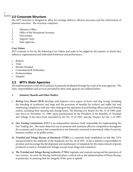#### 3.2 Corporate Structure

The MTI structure is designed to allow for strategy delivery, efficient processes and the achievement of planned outcomes. The structure comprises:

- 1. Minister's Office
- 2. Office of the Permanent Secretary
- 3. Directorates
- 4. Support Units
- 5. State Agencies

#### **Core Values**

MTI commits to live by the following Core Values and seeks to be judged by the manner in which they influence organisational and individual behaviour and performance.

- Respect
- Trust
- Results Oriented
- Commitment & Dedication
- Professionalism
- **Integrity**

#### 3.3 MTI's State Agencies

The implementation of the MTI's policies is primarily facilitated through the work of its state agencies. The roles, responsibilities and services provided by these state agencies are outlined below:

#### **1. Statutory Boards and Other Bodies:**

- *i. Betting Levy Board (BLB)* develops and improve every aspect of horse and dog racing, including the breeding of racehorses and dogs and the provision of benefits for jockeys and stable lad, and monitoring compliance with any rules relating to the operation of pool betting offices and pool betting outlets, including their opening and closing hours. The Betting Levy Board Act No. 35 of 1989 came into force on November 15, 1989, upon proclamation by the President of the Republic of Trinidad and Tobago. It has since been amended by Act No. 31 of 1991, and the Finance Act No. 5 of 1995.
- *ii. Fair Trading Commission (FTC)* is an independent statutory body responsible for implementing the Fair Trading Act. The main objectives are to promote and maintain effective competition throughout the economy, and to ensure that competition is not distorted, restricted or prevented, either by private business conduct or by public policy.
- *iii. Trinidad and Tobago Bureau of Standards (TTBS)* is a corporate body established on July 8th, 1974 and governed by the authority of the Standards Act No. 18 of 1997. It has a statutory responsibility to promote and encourage the development and maintenance of standards for the improvement of goods produced or used in Trinidad and Tobago (except food, drugs and cosmetics).
- *iv. The Trinidad and Tobago Racing Authority (TTRA)* regulates and controls racing and the operation of race courses. As such, the Racing Authority plays a critical role in the administration of Horse Racing, in particular, in ensuring that the integrity of the sport is upheld.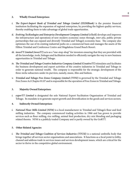#### **2. Wholly Owned Enterprises:**

- *i. The Export-Import Bank of Trinidad and Tobago Limited (EXIMBank)* is the premier financial institution facilitating the expansion of regional enterprises, by providing the highest quality services, thereby enabling them to take advantage of global trade opportunities.
- *ii. Evolving TecKnologies and Enterprise Development Company Limited (eTecK)* develops and improves the infrastructure and operations of new modern economic zones through, *inter-alia*, public private partnerships that can expand and diversify Trinidad and Tobago's economic base. The company also optimises the use of its existing industrial parks on a commercial basis and manages the assets of the Hilton Trinidad and Conference Centre and Magdalena Grand Beach Resort.
- *iii. invesTT Limited (invesTT)* acts as a "one-stop-shop" for investors ensuring that they are provided with all the knowledge, tools, linkages and facilitation needed to efficiently navigate the way to new business opportunities in Trinidad and Tobago.
- *iv. The Trinidad and Tobago Creative Industries Company Limited (CreativeTT)* stimulates and facilitates the business development and export activities of the creative industries in Trinidad and Tobago in order to generate national wealth. The company is responsible for the strategic development of the three niche subsectors under its purview, namely, music, film and fashion.
- *v. Trinidad and Tobago Free Zones Company Limited (TTFZ)* is governed by the Trinidad and Tobago Free Zones Act Chapter 81:07 and is responsible for the operation of Free Zones in Trinidad and Tobago.

#### **3. Majority Owned Enterprises:**

*i. exporTT Limited* is designated the sole National Export Facilitation Organisation of Trinidad and Tobago. Its mandate is to generate export growth and diversification in the goods and services sectors.

#### **4. Indirectly Owned Enterprises:**

*i. National Flour Mills Limited (NFM)* is a local manufacturer in Trinidad and Tobago's flour and feed milling industries. The company commenced trading activities in 1966 and has grown to provide services such as flour milling, rice milling, animal feed production, dry mix blending and packaging related thereto. NFM is a publicly traded Company and is partly owned by the GoRTT.

#### **5. Other Related Agencies**

*i. The Trinidad and Tobago Coalition of Services Industries (TTCSI)* is a national umbrella body that brings together all services sector organisations and associations. It functions as a focal point to lobby, channel and address trade in services issues and services development issues, which are critical for the sector to thrive in the competitive global environment.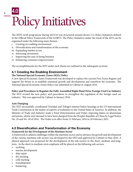## Policy Initiatives 4.0

The MTI's work programme during 2015/16 was structured around eleven (11) Policy Initiatives defined in the Official Policy Framework of the GORTT. The Policy Initiatives under the remit of the MTI can be organised under the following main themes:

- i. Creating an enabling environment
- ii. Diversification and transformation of the economy
- iii. Expanding market access
- iv. Attracting investment
- v. Improving the ease of doing business
- vi. Enhancing consumer empowerment

The accomplishments for the MTI under each theme are outlined in the subsequent sections.

#### 4.1 Creating the Enabling Environment

#### **The National Special Economic Zones (SEZs) Policy**

A new Special Economic Zones Framework was developed to replace the current Free Zones Regime and support the thrust to re-establish sustained growth and development and transform the economy. The National Special Economic Zones Policy was submitted to Cabinet in August 2016.

#### **Policy and Procedures to Regulate the Fully Assembled Right Hand Drive Foreign Used Car Industry**

The MTI revised the new policy and procedures to strengthen the regulation of the foreign used car industry. This was approved by Cabinet in January 2016.

#### **Anti-Dumping**

The MTI successfully coordinated Trinidad and Tobago's interest before hearings at the US International Trade Commission in the matter of exports of melamine to the United States of America. In addition, the Minister of Trade and Industry made a Final Determination and Order, imposing duties on aluminium extrusions, which were deemed to have been dumped from the People's Republic of China by Legal Notice No. 29 and No. 30 of 2016. The Order is in effect from 21 February 2016 to 20 February 2021.

#### 4.2 Diversification and Transformation of the Economy

#### **Framework for the Development of the Maritime Sector**

A framework to address challenges within the maritime sector and to advance the growth and development of the various maritime sub-sectors was developed by the MTI and approved by Cabinet in May 2016. A phased approach was proposed for the development of the sub-sectors in the short, medium and longterm. In the short to medium-term emphasis will be placed on the following sub-sectors:

- vachting
- marina development
- ship repair
- dry docking
- cold stacking
- transshipment
- **bunkering**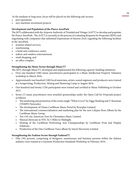In the medium to long term, focus will be placed on the following sub-sectors:

- port operations
- new maritime investment projects

#### **Development and Population of the Piarco AeroPark**

The MTI collaborated with the Airports Authority of Trinidad and Tobago (AATT) to develop and populate the Piarco AeroPark. The AATT is currently in the process of evaluating Requests for Proposals (RFPs) and negotiating with companies that submitted Expressions of Interest (EoI) regarding the following facilities at the AeroPark:

- aviation related services,
- warehousing,
- a hotel and conference centre,
- indoor and outdoor entertainment,
- retail shopping, and
- an office complex.

#### **Strengthening the Music Sector through MusicTT**

The MTI, through MusicTT, developed and implemented the following capacity-building initiatives:

- Over one hundred (100) music practitioners participated in a Music Intellectual Property Valuation workshop in March 2016.
- Approximately one hundred (100) local musicians, artists, sound engineers and producers were trained at a Songwriting, Production, Mixing and Mastering Camp in August 2016.
- One hundred and twenty (120) participants were trained and certified in Music Publishing in October 2015.
- Seven (7) music practitioners were awarded sponsorships under the Open Call for Proposals project as follows:
	- The marketing and promotion of the remix single "What is Love" by Ziggy Ranking and V. Bozeman (TEMPO Networks).
	- The development of Chune Caribbean Music Portal by Kewsplus Limited.
	- The international commercialisation and marketing plan for the new Calypso Rose Album by the Caribbean Music Group.
	- Ten (10) city American Tour by Chromatics Music Limited.
	- Musical showcase in NYC by 5 Miles to Midnight.
	- Hosting of the Caribbean Performing Arts Championships by Caribbean Print and Display Solutions.
	- Production of the One Caribbean Voice album by Sanch Electronix Limited.

#### **Strengthening the Fashion Sector through FashionTT**

• Fifty (50) persons, comprising of designers, seamstresses and business persons within the fashion industry were trained at a Garment Production Standards Workshop in February 2016.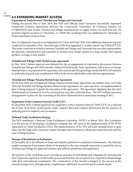#### 4.3 EXPANDING MARKET ACCESS

#### **Expansion of Trade between Trinidad and Tobago and Venezuela**

During the period May to June 2016, the MTI and Officials from Venezuela successfully negotiated Framework Contract Agreements between the Corporación Venezolana de Comercio Exterior SA (CORPOVEX) and various Trinidad and Tobago manufacturers to supply twelve (12) food and nine (9) personal hygiene products to Venezuela. A US\$50 Mn revolving fund was established by Venezuela to finance purchases of these items.

Two (2) shipments of goods were dispatched on 23 June and 9 July 2016 with additional shipment of goods conducted in September 2016. The total value of the first negotiated 3-month contract was US\$26,977,370. This trade cooperation initiative between Trinidad and Tobago and Venezuela has provided opportunities for domestic manufacturers and exporters to increase non-energy exports to a large market and expand product coverage to that market.

#### **Trinidad and Tobago-Chile Partial Scope Agreement**

In May 2016, Cabinet approval was obtained for the re-engagement of exploratory discussions between Trinidad and Tobago and Chile towards a bilateral Partial Scope Trade Agreement, with a focus on energy based products. In preparation for exploratory discussions and all negotiating rounds, the MTI will continue to undertake research and consultations with private sector stakeholders and relevant organizations.

#### **Trinidad and Tobago-Panama Partial Scope Agreement**

On 06 June 2016, the Trinidad and Tobago-Panama Partial Scope Agreement was ratified. Later, on 05 July 2016, the Trinidad and Tobago Panama Partial Scope Agreement Act came into force. An implementation plan is being prepared to guide the execution of the agreement. The agreement stipulates that the Joint Administration Commission is to be convened one year after entry into force. The MTI will put necessary arrangements in place for the convening of the Joint Administration Commission meeting in 2017.

#### **Suspension of the Common External Tariff (CET)**

In December 2015, Cabinet approved the suspension of the Common External Tariff (CET) on a selected list of basic food items, medicaments, audio compact discs and compact flourescents for the purpose of reducing prices to industry and consumers.

#### **National Trade Facilitation Strategy**

The MTI established a National Trade Facilitation Committee (NTFC) in March 2016. The Committee is in the process of developing a facilitation roadmap that will assist in the implementation of the WTO Agreement on Trade Facilitation (TFA). The implementation of the TFA will assist manufacturers to gain entry into the huge Latin American market through trade facilitation, enhancing competitiveness and the ease of doing business.

#### **Passage of Resolutions in Parliament**

In December 2015, the Minister of Trade and Industry piloted two resolutions in Parliament. The Minister sought exemptions from import duties to be granted to the class of goods imported or entered for use in Trinidad and Tobago for approved industry and offshore petroleum and exploration.

The purpose of the resolutions was to provide an incentive to individuals and companies by ensuring that their inputs are acquired at world market prices and that they are not placed at a competitive disadvantage with their international counterparts. The continuation of this benefit is integral to the success of the manufacturing sector, through greater employment, additional investment and increased output.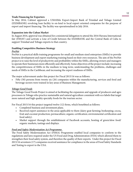#### **Trade Financing for Exporters**

In May 2016, Cabinet approved a US\$10Mn Export-Import Bank of Trinidad and Tobago Limited (EXIMBANK) revolving loan facility to on-lend to local export oriented companies for the purpose of export and import financing. The facility was operationalised in July 2016.

#### **Expansion into the Cuban Market**

In August 2016, approval was obtained for a ministerial delegation to attend the 2016 Havana International fair (FIHAV) and activate a Line of Credit between the EXIMBANK and the Central Bank of Cuba to support Trinidad and Tobago exports to that country.

#### **Enabling Competitive Business Strategy**

#### *ProNet*

ProNet is a practical skills training programme for small and medium sized enterprises (SMEs) to provide business development and export marketing training based on their own resources. The aim of the ProNet project is to raise the level of productivity and profitability within the SMEs, allowing owners and managers to operate their businesses more efficiently and effectively. Some objectives of the project include: increasing the competitiveness of SMEs in the medium to long term; understanding the problems, challenges and needs of SMEs in the Caribbean; and increasing the export readiness of SMEs.

The major achievement under this project for Fiscal 2015/16 was as follows:

• Fifty (50) persons from twenty six (26) companies within the manufacturing, services and food and beverage sectors were trained in key areas of Business Management.

#### *Tobago Good Foods*

The Tobago Good Foods Project is aimed at facilitating the expansion and upgrade of producers and agro processors in Tobago who practice sustainable and natural agriculture consistent with eco labels that target more natural and high quality specialty foods for the tourism sector.

For Fiscal 2015/16 this project targeted twelve (12) firms, which benefitted as follows:

- Completed business and investment plans.
- Received expert assistance in the areas applicable to them (dairy goat farming; beekeeping; cocoa, fruit and coconut production; permaculture; organic certification; environmental certification and food safety).
- Market support through the establishment of Facebook accounts, hosting of green/slow food/ organic markets, tastings and displays.

#### *Food and Safety Modernisation Act Programme*

The Food Safety Modernization Act (FSMA) Programme enabled local companies to conform to the regulations and laws required under the US Food and Drug Administration (FDA) which allowed them to strengthen their food safety system, and therefore the quality of their exports. Under this project for Fiscal 2015/16 seventeen (17) companies received assistance for compliance in the areas of Food Safety Standards and Testing to export to the USA.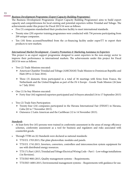#### *Business Development Programme (Export Capacity Building Programme)*

The Business Development Programme (Export Capacity Building Programme) aims to build export capacity and competitiveness for local existing and potential exporters within Trinidad and Tobago. The achievements under this project for Fiscal 2015/16 were as follows:

- Five (5) companies standardised their production facility to meet international standards.
- Twenty nine (29) exporter training programmes were conducted with 756 persons participating from 209 unique companies.
- Ten (10) firms accessed/benefitted from the co-financing facility under exporTT to export their products to new markets.

#### *International Market Development - Country Promotion & Marketing Assistance to Exporters*

This project is an export support programme designed to assist exporters in the non-energy sector to improve their performance in international markets. The achievements under this project for Fiscal 2015/16 were as follows:

- Two (2) Trade Missions executed:
	- American Chamber Trinidad and Tobago (AMCHAM) Trade Mission to Dominican Republic and Haiti (09 to 22 June 2016).
	- Three (3) domestic firms participated in a total of 36 meetings with firms from France, the Netherlands and the United Kingdom as part of the *Fit 4 Europe* - Goods Trade Mission (26 June to 7 July 2016)
- One (1) In-buy Mission executed:
	- Forty-four (44) registered exporters participated and 16 buyers attended (16 to 17 September 2015)
- Two (2) Trade Fairs Participation:
	- Twenty-four (24) companies participated in the Havana International Fair (FIHAV) in Havana, Cuba (02 to 7 November 2015).
	- Outsource 2 Latin American and the Caribbean (12 to 14 November 2015).

#### *Standards*

- At least forty five (45) persons were trained in conformity assessment in the areas of energy efficiency schemes, conformity assessment as a tool for business and regulators and risks associated with counterfeit goods.
- Through TTBS six (6) Standards were declared as national standards:
	- TTS/UL 1703:2015, Flat-plate photovoltaic modules and panels.
	- TTS/UL 1741:2015, Inverters, converters, controllers and interconnection system equipment for use with distributed energy resources.
	- TTS 171:Part 1:2015, Trinidad and Tobago Electrical Wiring Code Part 1 Low voltage installations (1st Revision).
	- TTS/ISO 9001:2015, Quality management systems Requirements;
	- TTS/ISO 14001:2015, Environmental management systems Requirements with guidance for use.

13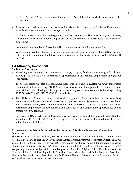- TTS 76: Part 13:2016, Requirements for labelling Part 13: Labelling of electrical appliances (3rd Revision).
- A project concept document was developed and provisionally accepted by the Caribbean Development Bank for the development of a National Quality Policy.
- Academic course on metrology and regulatory standards was developed by TTBS through its Metrology Division for the Faculty of Engineering, as part of the University of the West Indies' BSc. Biomedical programme.
- Regulations were adopted in November 2015 to operationalise the 2004 Metrology Act.
- Verification of weighing devices in the shipping and export sector began on 01 June 2016 in keeping with the implementation of the International Convention for the Safety of Life at Sea (SOLAS) on 01 July 2016.

#### 4.4 Attracting Investment

#### **Facilitating Investment**

- The MTI granted an import duty concession to one (1) company for the manufacturing and packaging of food products with a total investment of approximately TT\$23Mn and employment of eight-four (84) persons.
- The MTI processed two (2) applications under the Income Tax Exemption Act for two newly-constructed commercial buildings costing TT\$34 Mn. The certificates were both granted to a commercial and industrial real estate development company for two newly-constructed commercial buildings costing TT\$7,301,494.00 and TT\$26,373,790.00 respectively.
- The Ministry of Trade and Industry, through the grant of Fiscal Incentives and Customs Duty Exemptions, facilitated a proposed investment of approximately TT\$6,196,927,100.00 in a Methanol and Di Methyl Ether (DME) complex at Union Industrial Estate, La Brea. The project will create permanent employment for 139 nationals and construction and employment opportunities will be created for 1,800 nationals.
- In February 2016, invesTT closed the expansion of an existing investor at the Tamana Flagship Building at a value of TT\$21.4Mn (US\$3.4Mn). The expansion of the call centre created an additional 150 jobs at the Tamana Intech Park.

#### **Partnered with the Private Sector to host the 17th Annual Trade and Investment Convention (TIC 2016)**

The Ministry of Trade and Industry (MTI) partnered with the Trinidad and Tobago Manufacturers' Association (TTMA) to host TIC 2016 which was themed Creating Pathways for Success. Overall, TIC 2016 attracted over 10,000 attendees, with over 210 booths and ten pavilions. The exhibitor population consisted of one hundred and seventy–five (175) local companies and fifty-five (55) international firms. TIC 2016 saw participants from Antigua & Barbuda; Bangladesh; Barbados; Belgium; Belize; Canada; Cuba; Costa Rica; Dominica; Dominican Republic; El Salvador; France; Grenada; Haiti; India; Jamaica; Martinique; Mauritius; Mexico; Panama; Peru; Suriname; St. Kitts and Nevis; St. Vincent and the Grenadines; Tunisia; Turkey; the United Kingdom; the USA; Venezuela.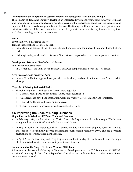#### **Preparation of an Integrated Investment Promotion Strategy for Trinidad and Tobago**

The Ministry of Trade and Industry developed an Integrated Investment Promotion Strategy for Trinidad and Tobago to ensure a coordinated approach by government ministries and agencies in the execution and implementation of investment promotion initiatives. The Strategy outlines the investment priorities and prioritizes activities of the Government for the next five years to ensure consistency towards its long term goal of sustainable growth and development.

#### **eTecK**

#### *Expansion of new Economic Spaces*

Tamana Industrial and Technology Park

- Installation and testing of the fiber optic broad band network completed throughout Phase 1 of the Park.
- Civil engineering works on 21 Lots (over 74 acres) was completed for the tenanting of new investors.

#### **Development Works on New Industrial Estates**

#### *Point Fortin Industrial Park*

• In October 2015, the Point Fortin Industrial Park was completed and eleven (11) lots leased.

#### *Agro-Processing and Industrial Park*

• In June 2016, Cabinet approval was provided for the design and construction of a new 20 acre Park in Moruga.

#### **Upgrade of Existing Industrial Parks**

- The following four (4) Industrial Parks (IP) were upgraded:
	- O'Meara: roads paved and roofs and factory shells refurbished.
	- Plaisance: roads paved and installation works on Waste Water Treatment Plant completed.
	- Frederick Settlement: all roads on park paved.
	- Trincity: drainage improvement works completed on park.

#### 4.5 Improving the Ease of Doing Business

#### **Single Electronic Window (SEW) for Trade and Business**

- In February 2016, the Pesticides and Toxic Chemicals Inspectorate of the Ministry of Health was brought online on the SEW's e-Goods Declaration Module.
- In May 2016, the MTI introduced the e-Maritime Module which allows shipping agents in Trinidad and Tobago to electronically prepare and simultaneously submit vessel pre-arrival and pre-departure declarations to several government agencies.
- In April 2016, the Pharmacy and Drug Inspectorate of the Ministry of Health went live on the Single Electronic Window with new electronic permits and licences.

#### **Enhancement of the Single Electronic Window (IDB Loan)**

A loan contract between the Ministry of Planning and Development and the IDB for the sum of US\$25Mn was signed on 08 April 2016. On 14 September 2016, all of the conditions for first disbursement of loan resources were satisfied.

15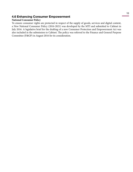#### 4.6 Enhancing Consumer Empowerment

#### **National Consumer Policy**

To ensure consumer rights are protected in respect of the supply of goods, services and digital content, a New National Consumer Policy (2016-2021) was developed by the MTI and submitted to Cabinet in July 2016. A legislative brief for the drafting of a new Consumer Protection and Empowerment Act was also included in the submission to Cabinet. The policy was referred to the Finance and General Purpose Committee (F&GP) in August 2016 for its consideration.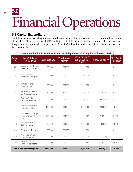## Financial Operations

#### 5.1 Capital Expenditure

The following table provides a summary on the expenditure of projects under the Development Programme of the MTI. At the end of Fiscal 2015/16, 60 percent of the Ministry's allocation under the Development Programme was spent while 94 percent of Ministry's allocation under the Infrastructure Development Fund was utilised.

| Project<br>No. | Item/Sub-item/<br>Group/Project                              | 2016 Estimate | 2016 Revised<br>Estimate | Expenditure as at<br>September 30,<br>2016 | <b>Unspent Balance</b> | % of Funds<br><b>Unutilised</b> |
|----------------|--------------------------------------------------------------|---------------|--------------------------|--------------------------------------------|------------------------|---------------------------------|
| F304           | Development of a Business<br>Development Programme           | 1,000,000     | 1,000,000                | 1,000,000                                  |                        | $\mathbb O$                     |
| R001           | Investment Promotion<br>Initiatives and Development          | 2,000,000     | 2,000,000                | 2,000,000                                  |                        | $\overline{0}$                  |
| <b>R005</b>    | International Market<br>Development- Country                 | 1,000,000     | 1,000,000                | 1,000,000                                  |                        | $\mathbb O$                     |
| R007           | Establishment of Research<br>and Development Facility        | 500,000       | 500,000                  | 250,000                                    | 250,000                | 50%                             |
| R011           | Support to Enabling<br>Competitive Businesses.               | 5,000,000     | 5,000,000                | 3,548,692                                  | 1,451,308              | 29. %                           |
| R014           | Business Development of<br>the Creative Industries           | 10,000,000    | 10,000,000               | 6,000,000                                  | 4,000,000              | 40%                             |
| R016           | Enhancement of the Single<br>Electronic Window (IDB<br>Loan) | 5,000,000     | 5,000,000                | 266,892                                    | 4,733,108              | 94.7%                           |
| B212           | Providing Reliability to<br>Quality Infrastructure           | 1,500,000     | 1,500,000                | 1,250,000                                  | 250,000                | 16.7%                           |
| B216           | Procurement of Equipment                                     | 1,000,000     | 1,000,000                | 1,000,000                                  |                        | $\mathbf 0$                     |
| <b>B218</b>    | TTBS- Building Capability<br>for Sustaining Export           | 500,000       | 500,000                  | 125,000                                    | 375,000                | 75%                             |
| A003           | Upgrading of Information<br>Technology and Systems           | 1,000,000     | 1,000,000                | 549,228                                    | 450,772                | 45.08%                          |
|                | <b>Total of Development Programme</b>                        | 28,500,000    | 28,500,000               | 16,989,812                                 | 11,510,188             | 40.39%                          |

#### Statement of Capital Expenditure Extract as at September 30 2016 ( End of Financial Period)

5.0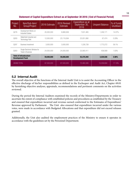#### Statement of Capital Expenditure Extract as at September 30 2016 ( End of Financial Period)

| Project<br>No.     | Item/Sub-item/<br>Group/Project                           | 2016 Estimate | 2016 Revised<br>Estimate | Expenditure as at<br>September 30,<br>2016 | <b>Unspent Balance</b> | % of Funds<br><b>Unutilised</b> |
|--------------------|-----------------------------------------------------------|---------------|--------------------------|--------------------------------------------|------------------------|---------------------------------|
| Q276               | Development Works on<br><b>Industrial Estates</b>         | 20,000,000    | 8,880,636                | 7,631,465                                  | 1.249.171              | 14.07%                          |
| Q293               | Wallerfield Industrial and<br>Technology Park             | 12.000.000    | 23.119.364               | 23.051.890                                 | 67.474                 | 0.29%                           |
| Q297               | Business Investment                                       | 3,000,000     | 3,000,000                | 1,226,728                                  | 1,773,272              | 59.1%                           |
| Q303               | Single Electronic Window for<br>Trade & Business          | 24,000,000    | 24,000,000               | 23.560.411                                 | 439.589                | 1.83%                           |
|                    | <b>Total of Infrastructure</b><br><b>Development Fund</b> | 59,000,000    | 59,000,000               | 55,470,494                                 | 3,529,506              | 5.98%                           |
| <b>GRAND TOTAL</b> |                                                           | 87,500,000    | 87,500,000               | 72,460,306                                 | 15,039,694             | 17.19%                          |

#### 5.2 Internal Audit

The overall objective of the functions of the Internal Audit Unit is to assist the Accounting Officer in the effective discharge of his/her responsibilities as defined in the Exchequer and Audit Act, Chapter 69:01 by furnishing objective analyses, appraisals, recommendations and pertinent comments on the activities reviewed.

During the period the Internal Auditors examined the records of the Ministry/Departments in order to ascertain the extent of compliance with established policies and procedures as established by the Treasury and ensured that expenditure incurred and revenue earned conformed to the Estimates of Expenditure/ Revenue approved by Parliament. The Unit also ensured that expenditure incurred under the various votes, were made in accordance with Budgeted Allocations and that expenditure did not exceed releases granted.

Additionally, the Unit also audited the employment practices of the Ministry to ensure it operates in accordance with the guidelines set by the Personnel Department.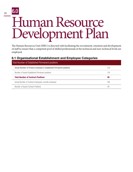### 6.0

19

## Human Resource Development Plan

The Human Resources Unit (HRU) is directed with facilitating the recruitment, retention and development of staff to ensure that a competent pool of skilled professionals at the technical and non-technical levels are employed.

#### 6.1 Organisational Establishment and Employee Categories

| Total Number of Established Permanent positions                      |     |  |  |  |
|----------------------------------------------------------------------|-----|--|--|--|
| Actual Number of Persons employed in Established Permanent positions | 129 |  |  |  |
| Number of Vacant Established Permanent positions                     | 134 |  |  |  |
| <b>Total Number of Contract Positions</b>                            | 95  |  |  |  |
|                                                                      |     |  |  |  |
| Actual Number of Contract Employees currently employed               | 186 |  |  |  |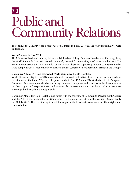## Public and Community Relations 7.0

To continue the Ministry's good corporate social image in Fiscal 2015/16, the following initiatives were undertaken:

#### **World Standards Day 2015**

The Minister of Trade and Industry joined the Trinidad and Tobago Bureau of Standards staff in recognizing the World Standards Day 2015 themed *"Standards, the world's common language"* on 14 October 2015. The Minister emphasized the important role national standards play in supporting national strategies aimed at trade competitiveness, economic diversification and the sustainable development of Trinidad and Tobago.

#### **Consumer Affairs Division celebrated World Consumer Rights Day 2016**

World Consumer Rights Day 2016 was celebrated via an outreach activity hosted by the Consumer Affairs Division under the theme "You have the power of choice" on 15 March 2016 at Market Street, Tunapuna. Consumer Advocates spent the day educating commuters, shoppers and residents in the Tunapuna area on their rights and responsibilities and avenues for redress/complaints resolution. Consumers were encouraged to be vigilant and responsible.

Consumer Affairs Division (CAD) joined forces with the Ministry of Community Development, Culture and the Arts in commemoration of Community Development Day, 2016 at the Vessigny Beach Facility on 24 July 2016. The Division again used the opportunity to educate consumers on their rights and responsibilities.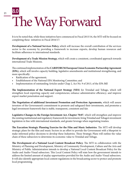## The Way Forward 8.0

It is to be noted that, while these initiatives have commenced in Fiscal 2015/16, the MTI will be focused on completing these initiatives in Fiscal 2016/17:

**Development of a National Services Policy,** which will increase the overall contribution of the services sector to the economy by providing a framework to increase exports, develop human resources and facilitate adherence to international standards.

**Development of a Trade Mission Strategy,** which will create a consistent, coordinated approach towards international Trade Missions.

The continued implementation of the **CARIFORUM/European Union Economic Partnership Agreement (EPA),** which will involve capacity building, legislative amendments and institutional strengthening, and more specifically:

- Ratification of the agreement;
- Establishment of the National EPA Monitoring Committee; and
- Implementation of outstanding Articles under Chap 2, Act No. 9 of 2013, of the EPA Bill

**The Implementation of the National Export Strategy (NES)** for Trinidad and Tobago, which will strengthen local exporting capacity and competencies; enhance administrative efficiency; and improve export market penetration and support.

**The Negotiation of additional Investment Promotion and Protection Agreements,** which will assure investors of the Government's commitment to promote and safeguard their investments, and promotes a legal investment framework that is stable, transparent, consistent and fair.

**Legislative Changes to the Foreign Investment Act, Chapter 70:07**, which will strengthen and improve the existing institutional and regulatory framework for investment, bring Trinidad and Tobago's investment legislation in line with international standards, and greater leverage when negotiating treaties.

**The Execution Strategic Planning Exercise for the Film and Music Industries**. The MTI will develop strategic plans for the film and music Sectors in an effort to provide the Government with a blueprint to make informed policy decisions to develop these Industries. These Strategic Plans will outline the value chain of these subsectors to determine its economic value to Trinidad and Tobago.

**The Development of a National Local Content Broadcast Policy.** The MTI in collaboration with the Ministry of Planning and Development, Ministry of Community Development, Culture and the Arts and Ministry of Public Administration intends to develop a National Local Content Broadcast Policy for the Audio and Audio-Visual subsectors. This Local Content Policy will state how the government intends to address the limited amount of airplay opportunities provided for the Audio and Audio-Visual subsectors. It will also identify appropriate local content regulations in the broadcasting sector to protect and promote local programming.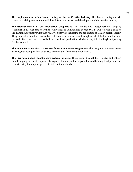**The Implementation of an Incentives Regime for the Creative Industry.** This Incentives Regime will create an enabling environment which will foster the growth and development of the creative industry.

**The Establishment of a Local Production Cooperative**. The Trinidad and Tobago Fashion Company (FashionTT) in collaboration with the University of Trinidad and Tobago (UTT) will establish a Fashion Production Cooperative with the primary objective of increasing the production of fashion designs locally. The proposed production cooperative will serve as a viable avenue through which skilled production staff can collectively increase the available level of local production which can tap into the English Speaking Caribbean market.

**The Implementation of an Artiste Portfolio Development Programme.** This programme aims to create a strong, balanced portfolio of artistes to be readied for international export.

**The Facilitation of an Industry Certification Initiative.** The Ministry through the Trinidad and Tobago Film Company intends to implement a capacity building initiative geared toward training local production crews to bring them up to speed with international standards.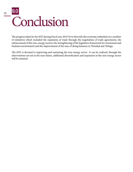## Conclusion 9.0

The progress taken by the MTI during Fiscal year 2015/16 to diversify the economy embarked on a number of initiatives which included the expansion of trade through the negotiation of trade agreements, the enhancement of the non-energy sectors, the strengthening of the legislative framework for investment and business environment and the improvement of the ease of doing business in Trinidad and Tobago.

The MTI is devoted to improving and sustaining the non-energy sector. It can be realized, through the interventions set out in the near future, additional diversification and expansion in the non-energy sector will be attained.